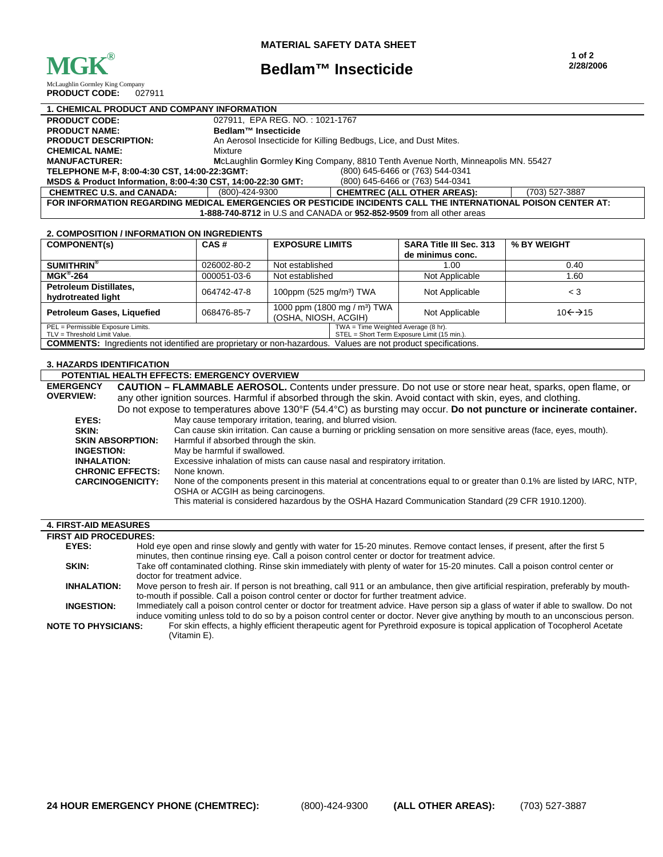

## **Bedlam™ Insecticide**

McLaughlin Gormley King Company<br> **PRODUCT CODE:** 027911 **PRODUCT CODE:** 

| <b>1. CHEMICAL PRODUCT AND COMPANY INFORMATION</b>                                                            |                                                                   |                                                                                 |                |  |
|---------------------------------------------------------------------------------------------------------------|-------------------------------------------------------------------|---------------------------------------------------------------------------------|----------------|--|
| <b>PRODUCT CODE:</b>                                                                                          | 027911, EPA REG. NO.: 1021-1767                                   |                                                                                 |                |  |
| <b>PRODUCT NAME:</b>                                                                                          | Bedlam™ Insecticide                                               |                                                                                 |                |  |
| <b>PRODUCT DESCRIPTION:</b>                                                                                   | An Aerosol Insecticide for Killing Bedbugs, Lice, and Dust Mites. |                                                                                 |                |  |
| <b>CHEMICAL NAME:</b>                                                                                         | Mixture                                                           |                                                                                 |                |  |
| <b>MANUFACTURER:</b>                                                                                          |                                                                   | McLaughlin Gormley King Company, 8810 Tenth Avenue North, Minneapolis MN. 55427 |                |  |
| (800) 645-6466 or (763) 544-0341<br>TELEPHONE M-F. 8:00-4:30 CST. 14:00-22:3GMT:                              |                                                                   |                                                                                 |                |  |
| MSDS & Product Information, 8:00-4:30 CST, 14:00-22:30 GMT:<br>(800) 645-6466 or (763) 544-0341               |                                                                   |                                                                                 |                |  |
| <b>CHEMTREC U.S. and CANADA:</b>                                                                              | (800)-424-9300                                                    | <b>CHEMTREC (ALL OTHER AREAS):</b>                                              | (703) 527-3887 |  |
| FOR INFORMATION REGARDING MEDICAL EMERGENCIES OR PESTICIDE INCIDENTS CALL THE INTERNATIONAL POISON CENTER AT: |                                                                   |                                                                                 |                |  |
| 1-888-740-8712 in U.S and CANADA or 952-852-9509 from all other areas                                         |                                                                   |                                                                                 |                |  |

## **2. COMPOSITION / INFORMATION ON INGREDIENTS**

| בו השושבו טוויוט ווטוויוט וויוו לוטוווטט וויוט וויוט                                                                                                     |             |                                                                  |  |                                |                                |  |
|----------------------------------------------------------------------------------------------------------------------------------------------------------|-------------|------------------------------------------------------------------|--|--------------------------------|--------------------------------|--|
| <b>COMPONENT(s)</b>                                                                                                                                      | CAS#        | <b>EXPOSURE LIMITS</b>                                           |  | <b>SARA Title III Sec. 313</b> | % BY WEIGHT                    |  |
|                                                                                                                                                          |             |                                                                  |  | de minimus conc.               |                                |  |
| <b>SUMITHRIN®</b>                                                                                                                                        | 026002-80-2 | Not established                                                  |  | 1.00                           | 0.40                           |  |
| $MGK^{\circ}$ -264                                                                                                                                       | 000051-03-6 | Not established                                                  |  | Not Applicable                 | 1.60                           |  |
| <b>Petroleum Distillates,</b><br>hydrotreated light                                                                                                      | 064742-47-8 | 100ppm (525 mg/m <sup>3</sup> ) TWA                              |  | Not Applicable                 | $\leq 3$                       |  |
| Petroleum Gases, Liquefied                                                                                                                               | 068476-85-7 | 1000 ppm (1800 mg / m <sup>3</sup> ) TWA<br>(OSHA, NIOSH, ACGIH) |  | Not Applicable                 | $10 \leftarrow \rightarrow 15$ |  |
| PEL = Permissible Exposure Limits.<br>TWA = Time Weighted Average (8 hr).<br>STEL = Short Term Exposure Limit (15 min.).<br>TLV = Threshold Limit Value. |             |                                                                  |  |                                |                                |  |
| <b>COMMENTS:</b> Ingredients not identified are proprietary or non-hazardous.<br>Values are not product specifications.                                  |             |                                                                  |  |                                |                                |  |

## **3. HAZARDS IDENTIFICATION**

| <b>POTENTIAL HEALTH EFFECTS: EMERGENCY OVERVIEW</b> |  |
|-----------------------------------------------------|--|
|-----------------------------------------------------|--|

**EMERGENCY OVERVIEW: CAUTION – FLAMMABLE AEROSOL.** Contents under pressure. Do not use or store near heat, sparks, open flame, or any other ignition sources. Harmful if absorbed through the skin. Avoid contact with skin, eyes, and clothing. Do not expose to temperatures above 130°F (54.4°C) as bursting may occur. **Do not puncture or incinerate container. EYES:** May cause temporary irritation, tearing, and blurred vision. **SKIN:** Can cause skin irritation. Can cause a burning or prickling sensation on more sensitive areas (face, eyes, mouth).<br>**SKIN ABSORPTION:** Harmful if absorbed through the skin. Harmful if absorbed through the skin. **INGESTION:** May be harmful if swallowed. **INHALATION:** Excessive inhalation of mists can cause nasal and respiratory irritation.<br>CHRONIC EFFECTS: None known. **CHRONIC EFFECTS:**<br>CARCINOGENICITY: None of the components present in this material at concentrations equal to or greater than 0.1% are listed by IARC, NTP, OSHA or ACGIH as being carcinogens. This material is considered hazardous by the OSHA Hazard Communication Standard (29 CFR 1910.1200).

| <b>4. FIRST-AID MEASURES</b> |                                                                                                                                                                                                                                                                           |
|------------------------------|---------------------------------------------------------------------------------------------------------------------------------------------------------------------------------------------------------------------------------------------------------------------------|
| <b>FIRST AID PROCEDURES:</b> |                                                                                                                                                                                                                                                                           |
| EYES:                        | Hold eye open and rinse slowly and gently with water for 15-20 minutes. Remove contact lenses, if present, after the first 5<br>minutes, then continue rinsing eye. Call a poison control center or doctor for treatment advice.                                          |
| SKIN:                        | Take off contaminated clothing. Rinse skin immediately with plenty of water for 15-20 minutes. Call a poison control center or<br>doctor for treatment advice.                                                                                                            |
| <b>INHALATION:</b>           | Move person to fresh air. If person is not breathing, call 911 or an ambulance, then give artificial respiration, preferably by mouth-<br>to-mouth if possible. Call a poison control center or doctor for further treatment advice.                                      |
| <b>INGESTION:</b>            | Immediately call a poison control center or doctor for treatment advice. Have person sip a glass of water if able to swallow. Do not<br>induce vomiting unless told to do so by a poison control center or doctor. Never give anything by mouth to an unconscious person. |
| <b>NOTE TO PHYSICIANS:</b>   | For skin effects, a highly efficient therapeutic agent for Pyrethroid exposure is topical application of Tocopherol Acetate<br>(Vitamin E).                                                                                                                               |